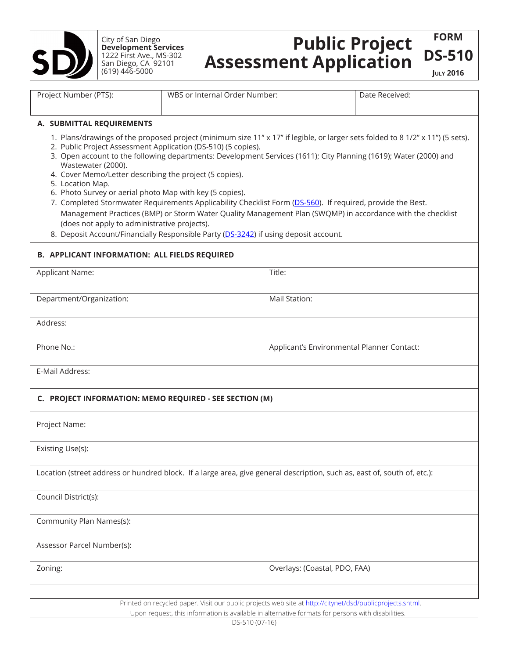

City of San Diego **Development Services** 1222 First Ave., MS-302 San Diego, CA 92101 (619) 446-5000

## **Public Project Assessment Application**

**fORM DS-510 July 2016**

| Project Number (PTS):                                                                                                                                                                                                                                                                                                                                                                                                                                                                                                                                                                                                                                                                                                                                                                                                                                     | WBS or Internal Order Number: | Date Received:                             |  |  |  |  |  |  |  |
|-----------------------------------------------------------------------------------------------------------------------------------------------------------------------------------------------------------------------------------------------------------------------------------------------------------------------------------------------------------------------------------------------------------------------------------------------------------------------------------------------------------------------------------------------------------------------------------------------------------------------------------------------------------------------------------------------------------------------------------------------------------------------------------------------------------------------------------------------------------|-------------------------------|--------------------------------------------|--|--|--|--|--|--|--|
| A. SUBMITTAL REQUIREMENTS                                                                                                                                                                                                                                                                                                                                                                                                                                                                                                                                                                                                                                                                                                                                                                                                                                 |                               |                                            |  |  |  |  |  |  |  |
| 1. Plans/drawings of the proposed project (minimum size 11" x 17" if legible, or larger sets folded to 8 1/2" x 11") (5 sets).<br>2. Public Project Assessment Application (DS-510) (5 copies).<br>3. Open account to the following departments: Development Services (1611); City Planning (1619); Water (2000) and<br>Wastewater (2000).<br>4. Cover Memo/Letter describing the project (5 copies).<br>5. Location Map.<br>6. Photo Survey or aerial photo Map with key (5 copies).<br>7. Completed Stormwater Requirements Applicability Checklist Form (DS-560). If required, provide the Best.<br>Management Practices (BMP) or Storm Water Quality Management Plan (SWQMP) in accordance with the checklist<br>(does not apply to administrative projects).<br>8. Deposit Account/Financially Responsible Party (DS-3242) if using deposit account. |                               |                                            |  |  |  |  |  |  |  |
| <b>B. APPLICANT INFORMATION: ALL FIELDS REQUIRED</b>                                                                                                                                                                                                                                                                                                                                                                                                                                                                                                                                                                                                                                                                                                                                                                                                      |                               |                                            |  |  |  |  |  |  |  |
| Applicant Name:<br>Title:                                                                                                                                                                                                                                                                                                                                                                                                                                                                                                                                                                                                                                                                                                                                                                                                                                 |                               |                                            |  |  |  |  |  |  |  |
| Department/Organization:                                                                                                                                                                                                                                                                                                                                                                                                                                                                                                                                                                                                                                                                                                                                                                                                                                  | Mail Station:                 |                                            |  |  |  |  |  |  |  |
| Address:                                                                                                                                                                                                                                                                                                                                                                                                                                                                                                                                                                                                                                                                                                                                                                                                                                                  |                               |                                            |  |  |  |  |  |  |  |
| Phone No.:                                                                                                                                                                                                                                                                                                                                                                                                                                                                                                                                                                                                                                                                                                                                                                                                                                                |                               | Applicant's Environmental Planner Contact: |  |  |  |  |  |  |  |
| E-Mail Address:                                                                                                                                                                                                                                                                                                                                                                                                                                                                                                                                                                                                                                                                                                                                                                                                                                           |                               |                                            |  |  |  |  |  |  |  |
| C. PROJECT INFORMATION: MEMO REQUIRED - SEE SECTION (M)                                                                                                                                                                                                                                                                                                                                                                                                                                                                                                                                                                                                                                                                                                                                                                                                   |                               |                                            |  |  |  |  |  |  |  |
| Project Name:                                                                                                                                                                                                                                                                                                                                                                                                                                                                                                                                                                                                                                                                                                                                                                                                                                             |                               |                                            |  |  |  |  |  |  |  |
| Existing Use(s):                                                                                                                                                                                                                                                                                                                                                                                                                                                                                                                                                                                                                                                                                                                                                                                                                                          |                               |                                            |  |  |  |  |  |  |  |
| Location (street address or hundred block. If a large area, give general description, such as, east of, south of, etc.):                                                                                                                                                                                                                                                                                                                                                                                                                                                                                                                                                                                                                                                                                                                                  |                               |                                            |  |  |  |  |  |  |  |
| Council District(s):                                                                                                                                                                                                                                                                                                                                                                                                                                                                                                                                                                                                                                                                                                                                                                                                                                      |                               |                                            |  |  |  |  |  |  |  |
| Community Plan Names(s):                                                                                                                                                                                                                                                                                                                                                                                                                                                                                                                                                                                                                                                                                                                                                                                                                                  |                               |                                            |  |  |  |  |  |  |  |
| Assessor Parcel Number(s):                                                                                                                                                                                                                                                                                                                                                                                                                                                                                                                                                                                                                                                                                                                                                                                                                                |                               |                                            |  |  |  |  |  |  |  |
| Overlays: (Coastal, PDO, FAA)<br>Zoning:                                                                                                                                                                                                                                                                                                                                                                                                                                                                                                                                                                                                                                                                                                                                                                                                                  |                               |                                            |  |  |  |  |  |  |  |
|                                                                                                                                                                                                                                                                                                                                                                                                                                                                                                                                                                                                                                                                                                                                                                                                                                                           |                               |                                            |  |  |  |  |  |  |  |

Printed on recycled paper. Visit our public projects web site at http://citynet/dsd/publicprojects.shtml. Upon request, this information is available in alternative formats for persons with disabilities.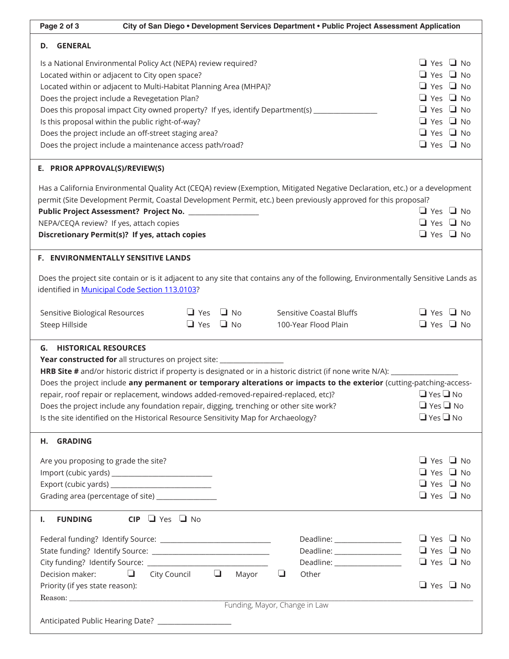| Page 2 of 3                                                                                                                                                                                                                                                                                                                                                                                                                                                                                                                                                                                                                               |                                         | City of San Diego . Development Services Department . Public Project Assessment Application |                                              |  |
|-------------------------------------------------------------------------------------------------------------------------------------------------------------------------------------------------------------------------------------------------------------------------------------------------------------------------------------------------------------------------------------------------------------------------------------------------------------------------------------------------------------------------------------------------------------------------------------------------------------------------------------------|-----------------------------------------|---------------------------------------------------------------------------------------------|----------------------------------------------|--|
| D. GENERAL                                                                                                                                                                                                                                                                                                                                                                                                                                                                                                                                                                                                                                |                                         |                                                                                             |                                              |  |
| Is a National Environmental Policy Act (NEPA) review required?                                                                                                                                                                                                                                                                                                                                                                                                                                                                                                                                                                            |                                         |                                                                                             | $\Box$ Yes $\Box$ No                         |  |
| Located within or adjacent to City open space?                                                                                                                                                                                                                                                                                                                                                                                                                                                                                                                                                                                            |                                         |                                                                                             |                                              |  |
| Located within or adjacent to Multi-Habitat Planning Area (MHPA)?                                                                                                                                                                                                                                                                                                                                                                                                                                                                                                                                                                         | $\Box$ Yes $\Box$ No                    |                                                                                             |                                              |  |
| Does the project include a Revegetation Plan?                                                                                                                                                                                                                                                                                                                                                                                                                                                                                                                                                                                             |                                         |                                                                                             | $\Box$ Yes $\Box$ No                         |  |
| Does this proposal impact City owned property? If yes, identify Department(s) ______________                                                                                                                                                                                                                                                                                                                                                                                                                                                                                                                                              | $\Box$ Yes $\Box$ No                    |                                                                                             |                                              |  |
| Is this proposal within the public right-of-way?                                                                                                                                                                                                                                                                                                                                                                                                                                                                                                                                                                                          | $\Box$ Yes $\Box$ No                    |                                                                                             |                                              |  |
| Does the project include an off-street staging area?                                                                                                                                                                                                                                                                                                                                                                                                                                                                                                                                                                                      | $\Box$ Yes $\Box$ No                    |                                                                                             |                                              |  |
| Does the project include a maintenance access path/road?                                                                                                                                                                                                                                                                                                                                                                                                                                                                                                                                                                                  | $\Box$ Yes $\Box$ No                    |                                                                                             |                                              |  |
| E. PRIOR APPROVAL(S)/REVIEW(S)                                                                                                                                                                                                                                                                                                                                                                                                                                                                                                                                                                                                            |                                         |                                                                                             |                                              |  |
| Has a California Environmental Quality Act (CEQA) review (Exemption, Mitigated Negative Declaration, etc.) or a development                                                                                                                                                                                                                                                                                                                                                                                                                                                                                                               |                                         |                                                                                             |                                              |  |
| permit (Site Development Permit, Coastal Development Permit, etc.) been previously approved for this proposal?                                                                                                                                                                                                                                                                                                                                                                                                                                                                                                                            |                                         |                                                                                             |                                              |  |
| Public Project Assessment? Project No. ____________________                                                                                                                                                                                                                                                                                                                                                                                                                                                                                                                                                                               |                                         |                                                                                             | $\Box$ Yes $\Box$ No                         |  |
| NEPA/CEQA review? If yes, attach copies                                                                                                                                                                                                                                                                                                                                                                                                                                                                                                                                                                                                   |                                         |                                                                                             | $\Box$ Yes $\Box$ No                         |  |
| Discretionary Permit(s)? If yes, attach copies                                                                                                                                                                                                                                                                                                                                                                                                                                                                                                                                                                                            |                                         |                                                                                             | $\Box$ Yes $\Box$ No                         |  |
| F. ENVIRONMENTALLY SENSITIVE LANDS                                                                                                                                                                                                                                                                                                                                                                                                                                                                                                                                                                                                        |                                         |                                                                                             |                                              |  |
| Does the project site contain or is it adjacent to any site that contains any of the following, Environmentally Sensitive Lands as                                                                                                                                                                                                                                                                                                                                                                                                                                                                                                        |                                         |                                                                                             |                                              |  |
| identified in Municipal Code Section 113.0103?                                                                                                                                                                                                                                                                                                                                                                                                                                                                                                                                                                                            |                                         |                                                                                             |                                              |  |
|                                                                                                                                                                                                                                                                                                                                                                                                                                                                                                                                                                                                                                           | $\Box$ Yes $\Box$ No                    |                                                                                             | $\Box$ Yes $\Box$ No                         |  |
|                                                                                                                                                                                                                                                                                                                                                                                                                                                                                                                                                                                                                                           |                                         |                                                                                             |                                              |  |
| Sensitive Biological Resources                                                                                                                                                                                                                                                                                                                                                                                                                                                                                                                                                                                                            |                                         | Sensitive Coastal Bluffs                                                                    |                                              |  |
| Steep Hillside<br><b>G. HISTORICAL RESOURCES</b>                                                                                                                                                                                                                                                                                                                                                                                                                                                                                                                                                                                          | $\Box$ Yes $\Box$ No                    | 100-Year Flood Plain                                                                        | $\Box$ Yes $\Box$ No                         |  |
| Year constructed for all structures on project site: ___________________________<br>HRB Site # and/or historic district if property is designated or in a historic district (if none write N/A): _______________<br>Does the project include any permanent or temporary alterations or impacts to the exterior (cutting-patching-access-<br>repair, roof repair or replacement, windows added-removed-repaired-replaced, etc)? $\square$ Yes $\square$ No<br>Does the project include any foundation repair, digging, trenching or other site work?<br>Is the site identified on the Historical Resource Sensitivity Map for Archaeology? |                                         |                                                                                             | $\Box$ Yes $\Box$ No<br>$\Box$ Yes $\Box$ No |  |
| H. GRADING                                                                                                                                                                                                                                                                                                                                                                                                                                                                                                                                                                                                                                |                                         |                                                                                             |                                              |  |
| Are you proposing to grade the site?                                                                                                                                                                                                                                                                                                                                                                                                                                                                                                                                                                                                      |                                         |                                                                                             | $\Box$ Yes $\Box$ No                         |  |
|                                                                                                                                                                                                                                                                                                                                                                                                                                                                                                                                                                                                                                           |                                         |                                                                                             | $\Box$ Yes $\Box$ No                         |  |
| Export (cubic yards) _____________________________                                                                                                                                                                                                                                                                                                                                                                                                                                                                                                                                                                                        |                                         |                                                                                             | $\Box$ Yes $\Box$ No                         |  |
| Grading area (percentage of site) ________________                                                                                                                                                                                                                                                                                                                                                                                                                                                                                                                                                                                        |                                         |                                                                                             | $\Box$ Yes $\Box$ No                         |  |
| $CIP$ $\Box$ Yes $\Box$ No<br><b>FUNDING</b><br>Ι.                                                                                                                                                                                                                                                                                                                                                                                                                                                                                                                                                                                        |                                         |                                                                                             |                                              |  |
|                                                                                                                                                                                                                                                                                                                                                                                                                                                                                                                                                                                                                                           |                                         | Deadline: ___________________                                                               | $\Box$ Yes $\Box$ No                         |  |
|                                                                                                                                                                                                                                                                                                                                                                                                                                                                                                                                                                                                                                           |                                         | Deadline: __________________                                                                | $\Box$ Yes $\Box$ No                         |  |
|                                                                                                                                                                                                                                                                                                                                                                                                                                                                                                                                                                                                                                           |                                         | Deadline: __________________                                                                | $\Box$ Yes $\Box$ No                         |  |
| Decision maker:<br>⊔                                                                                                                                                                                                                                                                                                                                                                                                                                                                                                                                                                                                                      | City Council $\qquad \qquad \Box$ Mayor | $\Box$<br>Other                                                                             |                                              |  |
| Priority (if yes state reason):                                                                                                                                                                                                                                                                                                                                                                                                                                                                                                                                                                                                           |                                         |                                                                                             | $\Box$ Yes $\Box$ No                         |  |
|                                                                                                                                                                                                                                                                                                                                                                                                                                                                                                                                                                                                                                           |                                         |                                                                                             |                                              |  |
|                                                                                                                                                                                                                                                                                                                                                                                                                                                                                                                                                                                                                                           |                                         | Funding, Mayor, Change in Law                                                               |                                              |  |